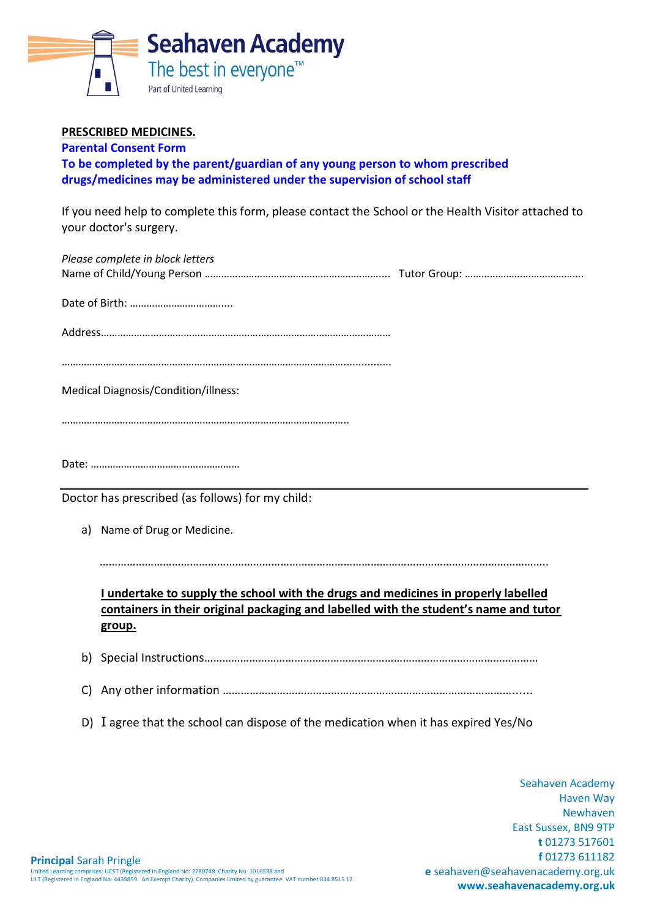

## **PRESCRIBED MEDICINES.**

**Parental Consent Form**

**To be completed by the parent/guardian of any young person to whom prescribed drugs/medicines may be administered under the supervision of school staff**

If you need help to complete this form, please contact the School or the Health Visitor attached to your doctor's surgery.

| Please complete in block letters                                                                                                                                                      |
|---------------------------------------------------------------------------------------------------------------------------------------------------------------------------------------|
|                                                                                                                                                                                       |
|                                                                                                                                                                                       |
| Medical Diagnosis/Condition/illness:                                                                                                                                                  |
|                                                                                                                                                                                       |
|                                                                                                                                                                                       |
| Doctor has prescribed (as follows) for my child:                                                                                                                                      |
| Name of Drug or Medicine.<br>a)                                                                                                                                                       |
| I undertake to supply the school with the drugs and medicines in properly labelled<br>containers in their original packaging and labelled with the student's name and tutor<br>group. |
| b)                                                                                                                                                                                    |
| C)                                                                                                                                                                                    |
| D) I agree that the school can dispose of the medication when it has expired Yes/No                                                                                                   |

Seahaven Academy Haven Way Newhaven East Sussex, BN9 9TP **t** 01273 517601 **f** 01273 611182 **e** seahaven@seahavenacademy.org.uk **www.seahavenacademy.org.uk**